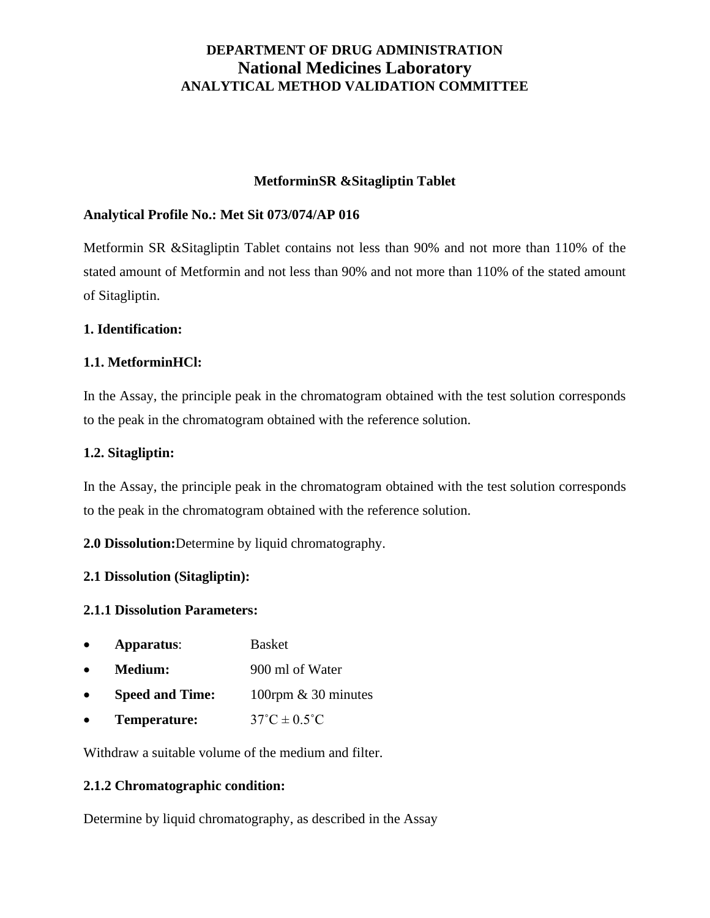### **MetforminSR &Sitagliptin Tablet**

### **Analytical Profile No.: Met Sit 073/074/AP 016**

Metformin SR &Sitagliptin Tablet contains not less than 90% and not more than 110% of the stated amount of Metformin and not less than 90% and not more than 110% of the stated amount of Sitagliptin.

### **1. Identification:**

### **1.1. MetforminHCl:**

In the Assay, the principle peak in the chromatogram obtained with the test solution corresponds to the peak in the chromatogram obtained with the reference solution.

### **1.2. Sitagliptin:**

In the Assay, the principle peak in the chromatogram obtained with the test solution corresponds to the peak in the chromatogram obtained with the reference solution.

**2.0 Dissolution:**Determine by liquid chromatography.

### **2.1 Dissolution (Sitagliptin):**

### **2.1.1 Dissolution Parameters:**

- **Apparatus**: Basket
- **Medium:** 900 ml of Water
- **Speed and Time:** 100rpm & 30 minutes
- **Temperature:**  $37^{\circ}C \pm 0.5^{\circ}C$

Withdraw a suitable volume of the medium and filter.

### **2.1.2 Chromatographic condition:**

Determine by liquid chromatography, as described in the Assay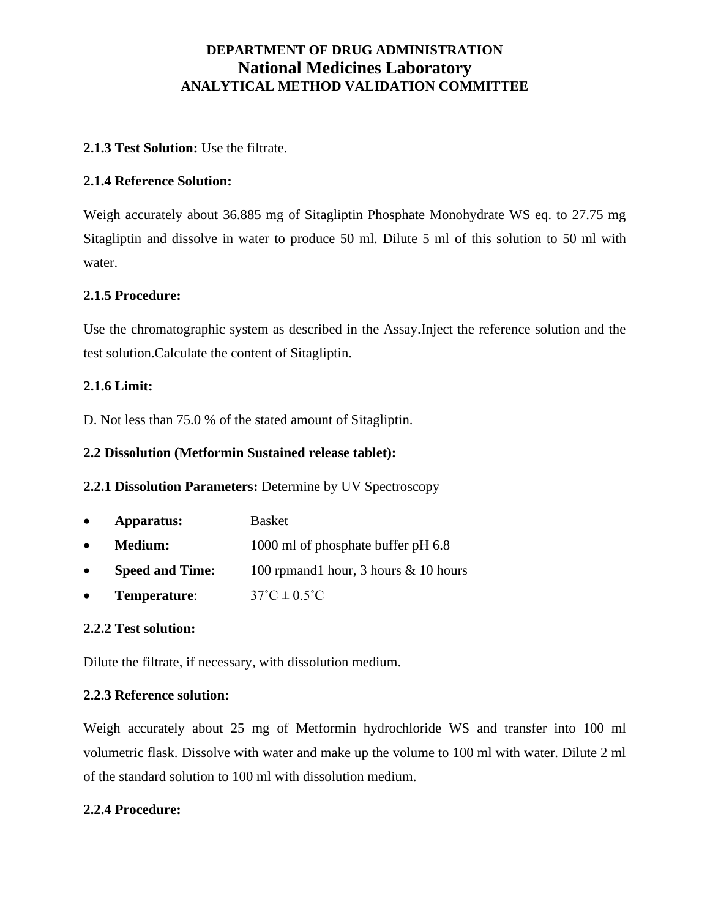### **2.1.3 Test Solution:** Use the filtrate.

### **2.1.4 Reference Solution:**

Weigh accurately about 36.885 mg of Sitagliptin Phosphate Monohydrate WS eq. to 27.75 mg Sitagliptin and dissolve in water to produce 50 ml. Dilute 5 ml of this solution to 50 ml with water.

### **2.1.5 Procedure:**

Use the chromatographic system as described in the Assay.Inject the reference solution and the test solution.Calculate the content of Sitagliptin.

### **2.1.6 Limit:**

D. Not less than 75.0 % of the stated amount of Sitagliptin.

### **2.2 Dissolution (Metformin Sustained release tablet):**

**2.2.1 Dissolution Parameters:** Determine by UV Spectroscopy

- **Apparatus:** Basket
- **Medium:** 1000 ml of phosphate buffer pH 6.8
- **Speed and Time:** 100 rpmand1 hour, 3 hours & 10 hours
- **Temperature:**  $37^{\circ}\text{C} \pm 0.5^{\circ}\text{C}$

### **2.2.2 Test solution:**

Dilute the filtrate, if necessary, with dissolution medium.

## **2.2.3 Reference solution:**

Weigh accurately about 25 mg of Metformin hydrochloride WS and transfer into 100 ml volumetric flask. Dissolve with water and make up the volume to 100 ml with water. Dilute 2 ml of the standard solution to 100 ml with dissolution medium.

## **2.2.4 Procedure:**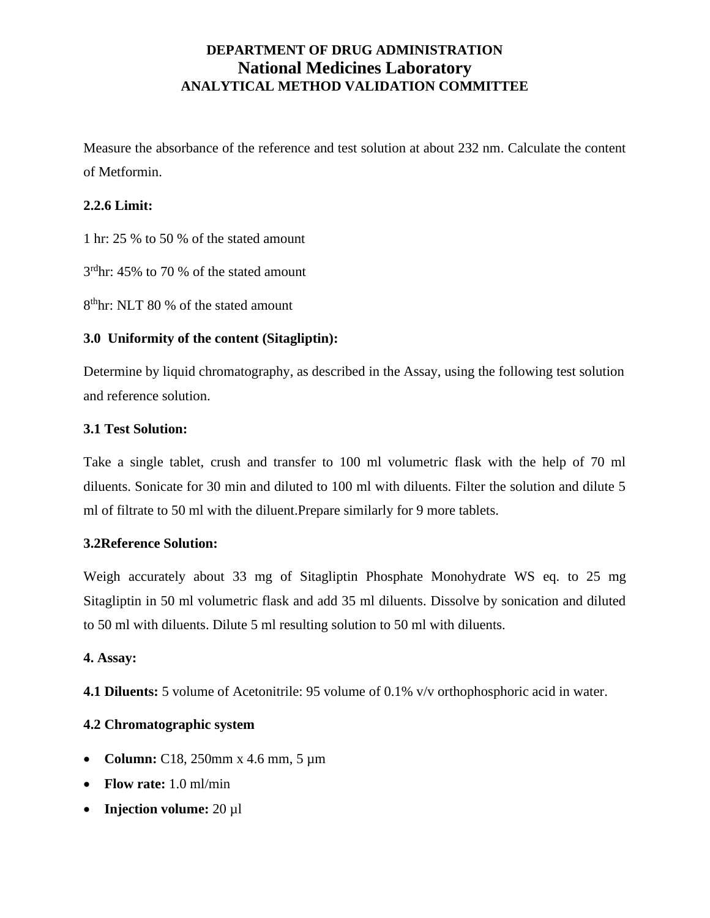Measure the absorbance of the reference and test solution at about 232 nm. Calculate the content of Metformin.

### **2.2.6 Limit:**

1 hr: 25 % to 50 % of the stated amount

3 rdhr: 45% to 70 % of the stated amount

8 thhr: NLT 80 % of the stated amount

## **3.0 Uniformity of the content (Sitagliptin):**

Determine by liquid chromatography, as described in the Assay, using the following test solution and reference solution.

### **3.1 Test Solution:**

Take a single tablet, crush and transfer to 100 ml volumetric flask with the help of 70 ml diluents. Sonicate for 30 min and diluted to 100 ml with diluents. Filter the solution and dilute 5 ml of filtrate to 50 ml with the diluent.Prepare similarly for 9 more tablets.

### **3.2Reference Solution:**

Weigh accurately about 33 mg of Sitagliptin Phosphate Monohydrate WS eq. to 25 mg Sitagliptin in 50 ml volumetric flask and add 35 ml diluents. Dissolve by sonication and diluted to 50 ml with diluents. Dilute 5 ml resulting solution to 50 ml with diluents.

### **4. Assay:**

**4.1 Diluents:** 5 volume of Acetonitrile: 95 volume of 0.1% v/v orthophosphoric acid in water.

## **4.2 Chromatographic system**

- **Column:** C18, 250mm x 4.6 mm, 5 µm
- **Flow rate:** 1.0 ml/min
- **Injection volume:** 20 µl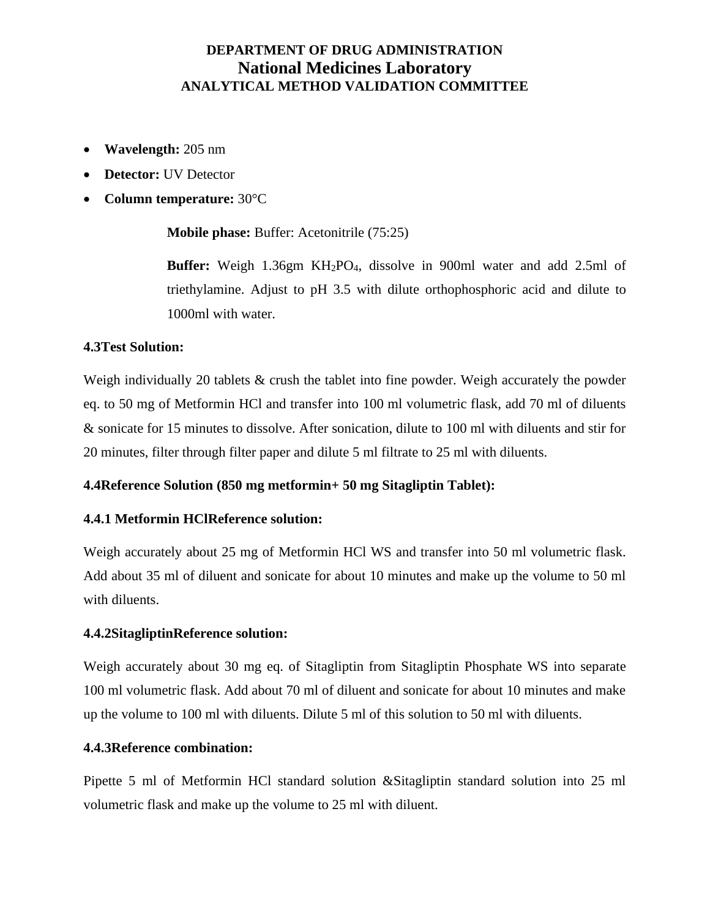- **Wavelength:** 205 nm
- **Detector:** UV Detector
- **Column temperature:** 30°C

**Mobile phase:** Buffer: Acetonitrile (75:25)

**Buffer:** Weigh 1.36gm KH2PO4, dissolve in 900ml water and add 2.5ml of triethylamine. Adjust to pH 3.5 with dilute orthophosphoric acid and dilute to 1000ml with water.

### **4.3Test Solution:**

Weigh individually 20 tablets & crush the tablet into fine powder. Weigh accurately the powder eq. to 50 mg of Metformin HCl and transfer into 100 ml volumetric flask, add 70 ml of diluents & sonicate for 15 minutes to dissolve. After sonication, dilute to 100 ml with diluents and stir for 20 minutes, filter through filter paper and dilute 5 ml filtrate to 25 ml with diluents.

### **4.4Reference Solution (850 mg metformin+ 50 mg Sitagliptin Tablet):**

### **4.4.1 Metformin HClReference solution:**

Weigh accurately about 25 mg of Metformin HCl WS and transfer into 50 ml volumetric flask. Add about 35 ml of diluent and sonicate for about 10 minutes and make up the volume to 50 ml with diluents.

### **4.4.2SitagliptinReference solution:**

Weigh accurately about 30 mg eq. of Sitagliptin from Sitagliptin Phosphate WS into separate 100 ml volumetric flask. Add about 70 ml of diluent and sonicate for about 10 minutes and make up the volume to 100 ml with diluents. Dilute 5 ml of this solution to 50 ml with diluents.

#### **4.4.3Reference combination:**

Pipette 5 ml of Metformin HCl standard solution &Sitagliptin standard solution into 25 ml volumetric flask and make up the volume to 25 ml with diluent.